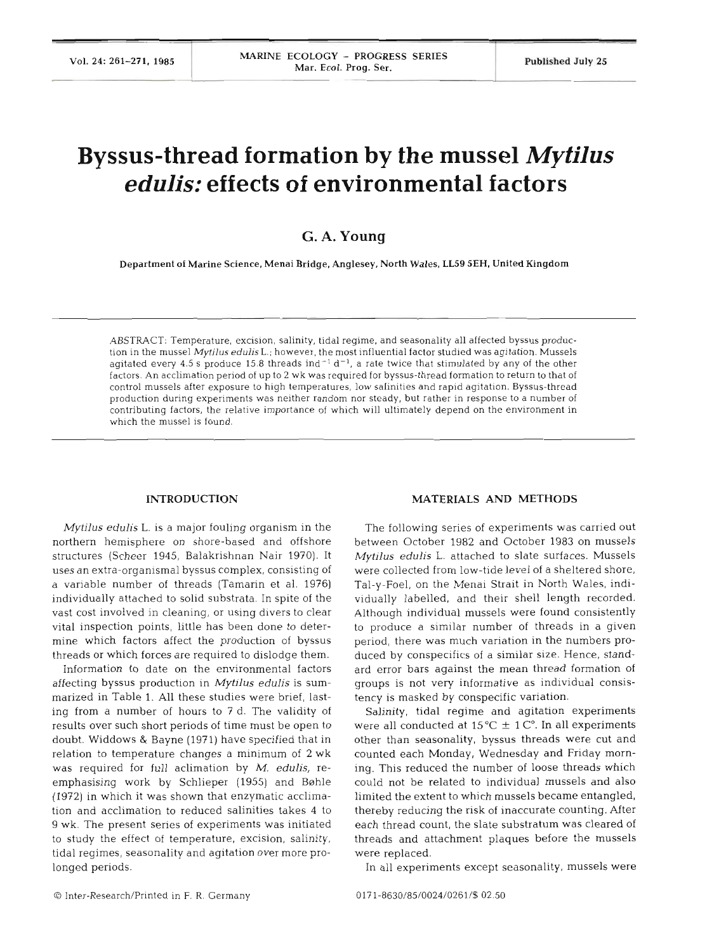# **Byssus-thread formation by the mussel** *Mytilus edulis:* **effects of environmental factors**

## *G.* **A. Young**

Department of Marine Science, Menai Bridge, Anglesey, North Wales, **LL59** SEH, United Kingdom

ABSTRACT: Temperature, excision, salinity, tidal regime, and seasonality all affected byssus production in the mussel **Myfilus** *edulisL.;* however, the most influential factor studied was agitation. Mussels agitated every 4.5 s produce 15.8 threads ind<sup>-1</sup> d<sup>-1</sup>, a rate twice that stimulated by any of the other factors. An acclimation period of up to 2 wk was required for byssus-thread formation to return to that of control mussels after exposure to high temperatures, low salinities and rapid agitation. Byssus-thread production during experiments was neither random nor steady, but rather in response to a number of contributing factors, the relative importance of which will ultimately depend on the environment in which the mussel is found.

#### **INTRODUCTION**

*Mytilus edulis L.* is a major fouling organism in the northern hemisphere on shore-based and offshore structures (Scheer 1945, Balakrishnan Nair 1970). It uses an extra-organismal byssus complex, consisting of a variable number of threads (Tamarin et al. 1976) individually attached to solid substrata. In spite of the vast cost involved in cleaning, or using divers to clear vital inspection points, little has been done to determine which factors affect the production of byssus threads or which forces are required to dislodge them.

Information to date on the environmental fac affecting byssus production in *Mytilus edulis* is summarized in Table 1. All these studies were brief, lasting from a number of hours to 7 d. The validity of results over such short periods of time must be open to doubt. Widdows & Bayne (1971) have specified that in relation to temperature changes a minimum of 2 wk was required for full aclimation by M. *edulis,* reemphasising work by Schlieper (1955) and Bøhle (1972) in which it was shown that enzymatic acclimation and acclimation to reduced salinities takes  $\cdot$ 9 wk. The present series of experiments was initiated to study the effect of temperature, excision, salinity, tidal regimes, seasonality and agitation over more prolonged periods.

#### **MATERIALS AND METHODS**

The following series of experiments was carried out between October 1982 and October 1983 on mussels *Mytjlus edulis* L. attached to slate surfaces. Mussels were collected from low-tide level of a sheltered shore, Tal-y-Foel, on the Menai Strait in North Wales, individually labelled, and their shell length recorded. Although individual mussels were found consistently to produce a similar number of threads in a given period, there was much variation in the numbers produced by conspecifics of a similar size. Hence, standard error bars against the mean thread formation of groups is not very informative as individual consistency is masked by conspecific variation.

Salinity, tidal regime and agitation experiments were all conducted at  $15^{\circ}C \pm 1^{\circ}C$ . In all experiments other than seasonality, byssus threads were cut and counted each Monday, Wednesday and Friday morning. This reduced the number of loose threads which could not be related to individual mussels and also limited the extent to which mussels became entangled, thereby reducing the risk of inaccurate counting. After each thread count, the slate substratum was cleared of threads and attachment plaques before the mussels were replaced.

In all experiments except seasonality, mussels were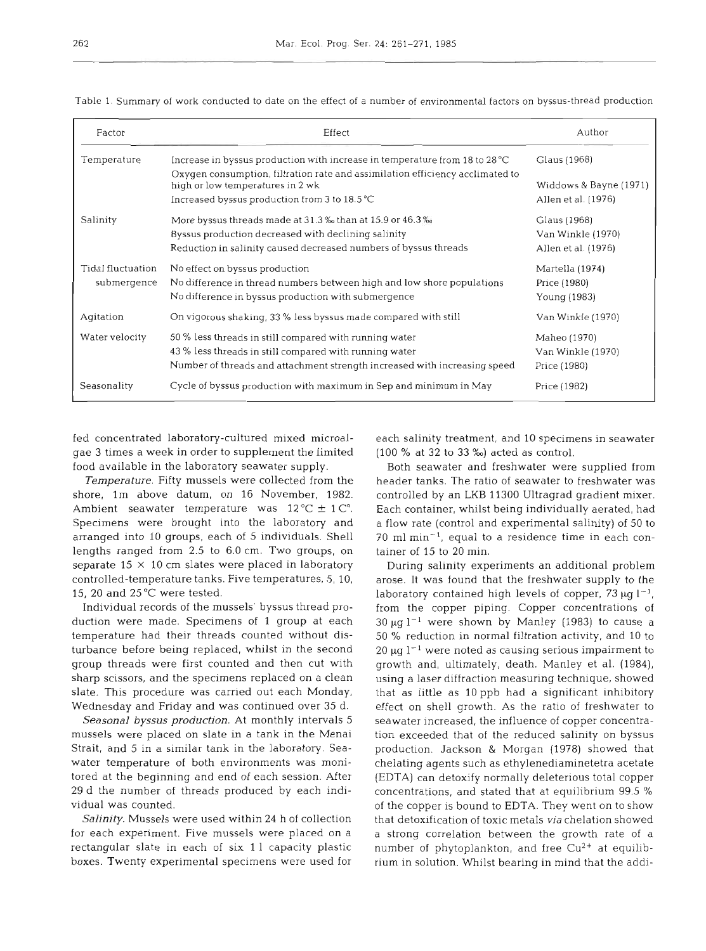| Factor            | Effect                                                                                                            | Author                 |
|-------------------|-------------------------------------------------------------------------------------------------------------------|------------------------|
| Temperature       | Increase in byssus production with increase in temperature from 18 to 28 °C                                       | Glaus (1968)           |
|                   | Oxygen consumption, filtration rate and assimilation efficiency acclimated to<br>high or low temperatures in 2 wk | Widdows & Bayne (1971) |
|                   | Increased byssus production from 3 to 18.5 °C                                                                     | Allen et al. (1976)    |
| Salinity          | More byssus threads made at 31.3 % than at 15.9 or 46.3 %                                                         | Glaus (1968)           |
|                   | Byssus production decreased with declining salinity                                                               | Van Winkle (1970)      |
|                   | Reduction in salinity caused decreased numbers of byssus threads                                                  | Allen et al. (1976)    |
| Tidal fluctuation | No effect on byssus production                                                                                    | Martella (1974)        |
| submergence       | No difference in thread numbers between high and low shore populations                                            | Price (1980)           |
|                   | No difference in byssus production with submergence                                                               | Young (1983)           |
| Agitation         | On vigorous shaking, 33 % less byssus made compared with still                                                    | Van Winkle (1970)      |
| Water velocity    | 50 % less threads in still compared with running water                                                            | Maheo (1970)           |
|                   | 43 % less threads in still compared with running water                                                            | Van Winkle (1970)      |
|                   | Number of threads and attachment strength increased with increasing speed                                         | Price (1980)           |
| Seasonality       | Cycle of byssus production with maximum in Sep and minimum in May                                                 | Price (1982)           |

Table 1. Summary of work conducted to date on the effect of a number of environmental factors on byssus-thread production

fed concentrated laboratory-cultured mixed microalgae 3 times a week in order to supplement the limited food available in the laboratory seawater supply.

*Temperature.* Fifty mussels were collected from the shore, lm above datum, on 16 November, 1982. Ambient seawater temperature was  $12^{\circ}C \pm 1^{\circ}C$ . Specimens were brought into the laboratory and arranged into 10 groups, each of 5 individuals. Shell lengths ranged from 2.5 to 6.0 cm. Two groups, on separate 15 **X** 10 cm slates were placed in laboratory controlled-temperature tanks. Five temperatures, 5, 10, 15, 20 and 25°C were tested.

Individual records of the mussels' byssus thread production were made. Specimens of 1 group at each temperature had their threads counted without disturbance before being replaced, whilst in the second group threads were first counted and then cut with sharp scissors, and the specimens replaced on a clean slate. This procedure was carried out each Monday, Wednesday and Friday and was continued over 35 d.

*Seasonal byssus production.* At monthly intervals 5 mussels were placed on slate in a tank in the Menai Strait, and 5 in a similar tank in the laboratory. Seawater temperature of both environments was monitored at the beginning and end of each session. After 29 d the number of threads produced by each individual was counted.

*Salinity.* Mussels were used within 24 h of collection for each experiment. Five mussels were placed on a rectangular slate in each of six 11 capacity plastic boxes. Twenty experimental specimens were used for each salinity treatment, and 10 specimens in seawater (100 % at 32 to **33** %) acted as control.

Both seawater and freshwater were supplied from header tanks. The ratio of seawater to freshwater was controlled by an LKB 11300 Ultragrad gradient mixer. Each container, whilst being individually aerated, had a flow rate (control and experimental salinity) of 50 to  $70$  ml min<sup>-1</sup>, equal to a residence time in each container of 15 to 20 min.

During salinity experiments an additional problem arose. It was found that the freshwater supply to the laboratory contained high levels of copper, 73  $\mu$ g l<sup>-1</sup>, from the copper piping. Copper concentrations of  $30 \mu g$   $l^{-1}$  were shown by Manley (1983) to cause a 50 % reduction in normal filtration activity, and 10 to 20  $\mu$ g l<sup>-1</sup> were noted as causing serious impairment to growth and, ultimately, death. Manley et al. (1984), using a laser diffraction measuring technique, showed that as little as 10 ppb had a significant inhibitory effect on shell growth. As the ratio of freshwater to seawater increased, the influence of copper concentration exceeded that of the reduced salinity on byssus production. Jackson & Morgan (1978) showed that chelating agents such as ethylenediaminetetra acetate (EDTA) can detoxify normally deleterious total copper concentrations, and stated that at equilibrium 99.5 % of the copper is bound to EDTA. They went on to show that detoxification of toxic metals *via* chelation showed a strong correlation between the growth rate of a number of phytoplankton, and free  $Cu^{2+}$  at equilibrium in solution. Whilst bearing in mind that the addi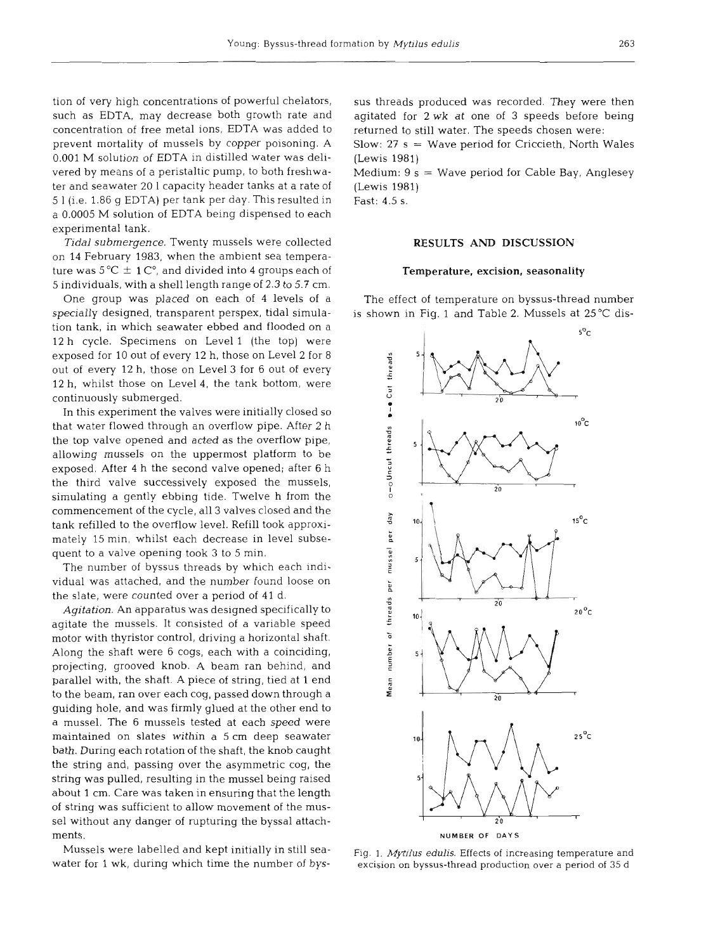tion of very high concentrations of powerful chelators, such as EDTA, may decrease both growth rate and concentration of free metal ions, EDTA was added to prevent mortality of mussels by copper poisoning. A 0.001 M solution of EDTA in distilled water was delivered by means of a peristaltic pump, to both freshwater and seawater 20 1 capacity header tanks at a rate of *5* 1 (i.e. 1.86 g EDTA) per tank per day. This resulted in a 0.0005 M solution of EDTA being dispensed to each experimental tank.

**Tidal submergence.** Twenty mussels were collected on 14 February 1983, when the ambient sea temperature was  $5^{\circ}$ C  $\pm$  1 C $^{\circ}$ , and divided into 4 groups each of 5 individuals, with a shell length range of 2.3 to 5.7 cm.

One group was placed on each of 4 levels of a specially designed, transparent perspex, tidal simulation tank, in which seawater ebbed and flooded on a 12 h cycle. Specimens on Level l (the top) were exposed for 10 out of every 12 h, those on Level 2 for 8 out of every 12 h, those on Level 3 for 6 out of every 12 h, whilst those on Level 4, the tank bottom, were continuously submerged.

In this experiment the valves were initially closed so that water flowed through an overflow pipe. After 2 h the top valve opened and acted as the overflow pipe, allowing mussels on the uppermost platform to be exposed. After 4 h the second valve opened; after 6 h the third valve successively exposed the mussels, simulating a gently ebbing tide. Twelve h from the commencement of the cycle, all 3 valves closed and the tank refilled to the overflow level. Refill took approximately 15 min, whilst each decrease in level subsequent to a valve opening took 3 to 5 min.

The number of byssus threads by which each individual was attached, and the number found loose on the slate, were counted over a period of 41 d.

**Agitation.** An apparatus was designed specifically to agitate the mussels. It consisted of a variable speed motor with thyristor control, driving a horizontal shaft. Along the shaft were *6* cogs, each with a coinciding, projecting, grooved knob. A beam ran behind, and parallel with, the shaft. A piece of string, tied at 1 end to the beam, ran over each cog, passed down through a guiding hole, and was firmly glued at the other end to a mussel. The 6 mussels tested at each speed were maintained on slates within a 5 cm deep seawater bath. During each rotation of the shaft, the knob caught the string and, passing over the asymmetric cog, the string was pulled, resulting in the mussel being raised about 1 cm. Care was taken in ensuring that the length of string was sufficient to allow movement of the mussel without any danger of rupturing the byssal attachments.

Mussels were labelled and kept initially in still seawater for 1 wk, during which time the number of byssus threads produced was recorded. They were then<br>agitated for 2 wk at one of 3 speeds before being<br>returned to still water. The speeds chosen were:<br>Slow: 27 s = Wave period for Criccieth, North Wales<br>(Lewis 1981)<br>Medium:

#### **RESULTS AND DISCUSSION**

Temperature, excision, seasonality<br>The effect of temperature on byssus-thread number<br>is shown in Fig. 1 and Table 2. Mussels at 25°C dis-



Fig. 1. *Mytilus edulis.* Effects of increasing temperature and excision on byssus-thread production over a period of 35 d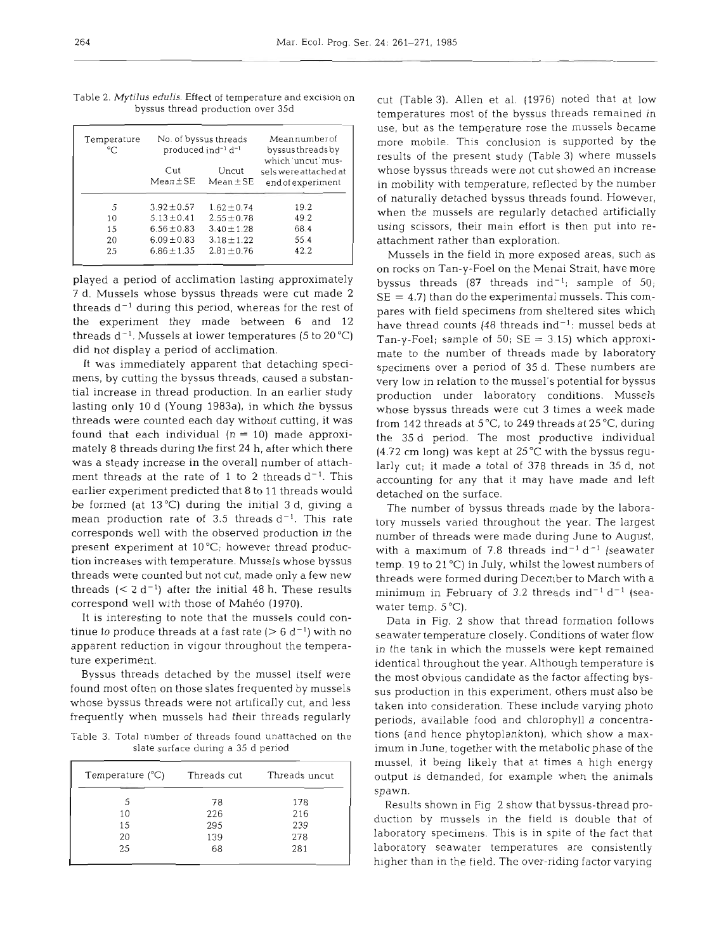| Temperature<br>°⊂ |                      | No. of byssus threads<br>produced ind <sup>-1</sup> d <sup>-1</sup> | Meannumber of<br>byssus threads by<br>which 'uncut' mus- |
|-------------------|----------------------|---------------------------------------------------------------------|----------------------------------------------------------|
|                   | Cut<br>$Mean \pm SE$ | Uncut<br>$Mean + SE$                                                | sels were attached at<br>end of experiment               |
| 5                 | $3.92 \pm 0.57$      | $1.62 \pm 0.74$                                                     | 19.2                                                     |
| 10                | $5.13 \pm 0.41$      | $2.55 \pm 0.78$                                                     | 49.2                                                     |
| 15                | $6.56 \pm 0.83$      | $3.40 \pm 1.28$                                                     | 68.4                                                     |
| 20                | $6.09 \pm 0.83$      | $3.18 \pm 1.22$                                                     | 55.4                                                     |
| 25                | $6.86 + 1.35$        | $2.81 \pm 0.76$                                                     | 42.2                                                     |

Table 2. *Mytilus* **edulis.** Effect of temperature and excision on byssus thread production over 35d

played a period of acclimation lasting approximately 7 d. Mussels whose byssus threads were cut made 2 threads  $d^{-1}$  during this period, whereas for the rest of the experiment they made between 6 and 12 threads  $d^{-1}$ . Mussels at lower temperatures (5 to 20 °C) did not display a period of acclimation.

It was immediately apparent that detaching specimens, by cutting the byssus threads, caused a substantial increase in thread production. In an earlier study lasting only 10 d (Young 1983a), in which the byssus threads were counted each day without cutting, it was found that each individual  $(n = 10)$  made approximately 8 threads during the first 24 h, after which there was a steady increase in the overall number of attachment threads at the rate of 1 to 2 threads  $d^{-1}$ . This earlier experiment predicted that 8 to 11 threads would be formed (at  $13^{\circ}$ C) during the initial 3 d, giving a mean production rate of 3.5 threads  $d^{-1}$ . This rate corresponds well with the observed production in the present experiment at 10°C; however thread production increases with temperature. Mussels whose byssus threads were counted but not cut, made only a few new threads  $(< 2 d<sup>-1</sup>)$  after the initial 48 h. These results correspond well with those of Maheo (1970).

It is interesting to note that the mussels could continue to produce threads at a fast rate  $(> 6 d^{-1})$  with no apparent reduction in vigour throughout the temperature experiment.

Byssus threads detached by the mussel itself were found most often on those slates frequented by mussels whose byssus threads were not artifically cut, and less frequently when mussels had their threads regularly

Table 3. Total number of threads found unattached on the slate surface during a 35 d period

| Temperature $(°C)$ Threads cut |     | Threads uncut |
|--------------------------------|-----|---------------|
| 5                              | 78  | 178           |
| 10                             | 226 | 216           |
| 15                             | 295 | 239           |
| 20                             | 139 | 278           |
| 25                             | 68  | 281           |
|                                |     |               |

cut (Table 3). Allen et al. (1976) noted that at low temperatures most of the byssus threads remained in use, but as the temperature rose the mussels became more mobile. This conclusion is supported by the results of the present study (Table 3) where mussels whose byssus threads were not cut showed an increase in mobility with temperature, reflected by the number of naturally detached byssus threads found. However, when the mussels are regularly detached artificially using scissors, their main effort is then put into reattachment rather than exploration.

Mussels in the field in more exposed areas, such as on rocks on Tan-y-Foe1 on the Menai Strait, have more byssus threads  $(87 \text{ threads} \text{ind}^{-1})$ ; sample of 50;  $SE = 4.7$ ) than do the experimental mussels. This compares with field specimens from sheltered sites which have thread counts (48 threads ind $^{-1}$ : mussel beds at Tan-y-Foel; sample of 50;  $SE = 3.15$ ) which approximate to the number of threads made by laboratory specimens over a period of 35 d. These numbers are very low in relation to the mussel's potential for byssus production under laboratory conditions. Mussels whose byssus threads were cut 3 times a week made from 142 threads at 5 *"C,* to 249 threads at 25 "C, during the 35 d period. The most productive individual (4.72 cm long) was kept at 25°C with the byssus regularly cut; it made a total of 378 threads in 35 d, not accounting for any that it may have made and left detached on the surface.

The number of byssus threads made by the laboratory mussels varied throughout the year. The largest number of threads were made during June to August, with a maximum of 7.8 threads ind<sup>-1</sup> d<sup>-1</sup> (seawater temp. 19 to 21 "C) in July, whilst the lowest numbers of threads were formed during December to March with a minimum in February of 3.2 threads ind<sup>-1</sup> d<sup>-1</sup> (seawater temp.  $5^{\circ}$ C).

Data in Fig. 2 show that thread formation follows seawater temperature closely. Conditions of water flow in the tank in which the mussels were kept remained identical throughout the year. Although temperature is the most obvious candidate as the factor affecting byssus production in this experiment, others must also be taken into consideration. These include varying photo periods, available food and chlorophyll a concentrations (and hence phytoplankton), which show a maximum in June, together with the metabolic phase of the mussel, it being likely that at times a high energy output is demanded, for example when the animals spawn.

Results shown in Fig 2 show that byssus-thread production by mussels in the field is double that of laboratory specimens. This is in spite of the fact that laboratory seawater temperatures are consistently higher than in the field. The over-riding factor varying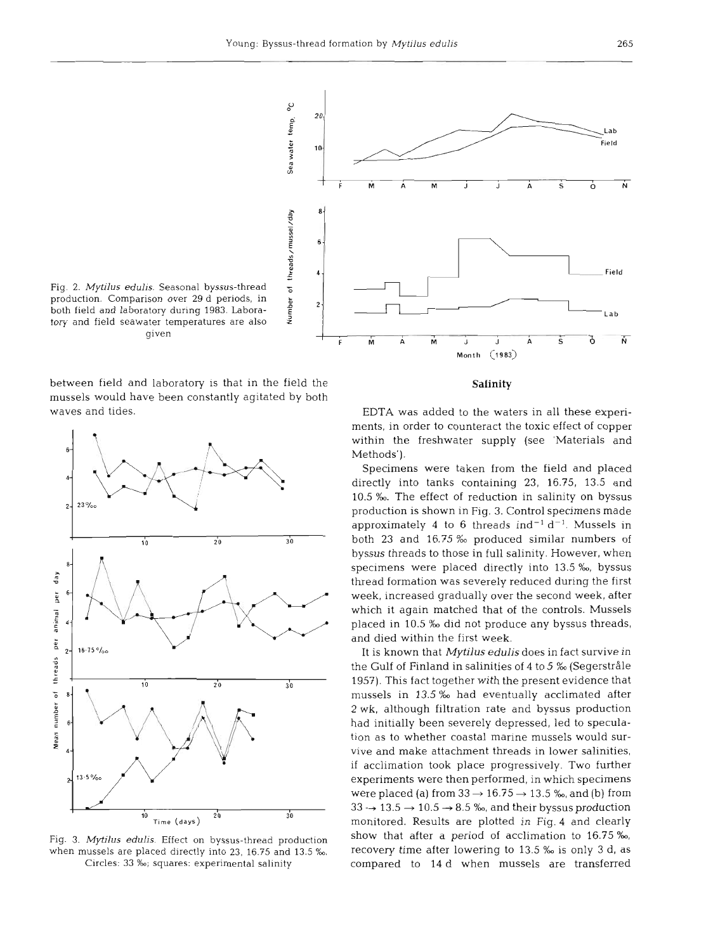

Fig. **2.** *Mytilus edulis.* Seasonal byssus-thread ; production. Comparison over 29 d periods, in \$ both field and laboratory during 1983. Laboratory and field seawater temperatures are also **<sup>2</sup>** given

between field and laboratory is that in the field the mussels would have been constantly agitated by both waves and tides.



Fig. 3. *Mytjlus edulis.* Effect on byssus-thread production when mussels are placed directly into 23, 16.75 and 13.5 %. Circles: 33 ‰; squares: experimental salinity

### **Salinity**

EDTA was added to the waters in all these experiments, in order to counteract the toxic effect of copper within the freshwater supply (see 'Materials and Methods').

Specimens were taken from the field and placed directly into tanks containing 23, 16.75, 13.5 and 10.5 ‰. The effect of reduction in salinity on byssus production is shown in Fig. 3. Control specimens made approximately 4 to 6 threads ind<sup>-1</sup> d<sup>-1</sup>. Mussels in both 23 and 16.75 % produced similar numbers of byssus threads to those in full salinity. However, when specimens were placed directly into 13.5 **%o,** byssus thread formation was severely reduced during the first week, increased gradually over the second week, after which it again matched that of the controls. Mussels placed in 10.5 ‰ did not produce any byssus threads, and died within the first week.

It is known that Mytilus **edulis** does in fact survive in the Gulf of Finland in salinities of 4 to 5 % (Segerstråle 1957). This fact together with the present evidence that mussels in 13.5 % had eventually acclimated after **2** wk, although filtration rate and byssus production had initially been severely depressed, led to speculation as to whether coastal marine mussels would survive and make attachment threads in lower salinities, if acclimation took place progressively. Two further experiments were then performed, in which specimens were placed (a) from  $33 \rightarrow 16.75 \rightarrow 13.5$  ‰, and (b) from  $33 \rightarrow 13.5 \rightarrow 10.5 \rightarrow 8.5$  ‰, and their byssus production monitored. Results are plotted in Fig. 4 and clearly show that after a period of acclimation to 16.75 %o, recovery time after lowering to 13.5 ‰ is only 3 d, as compared to 14 d when mussels are transferred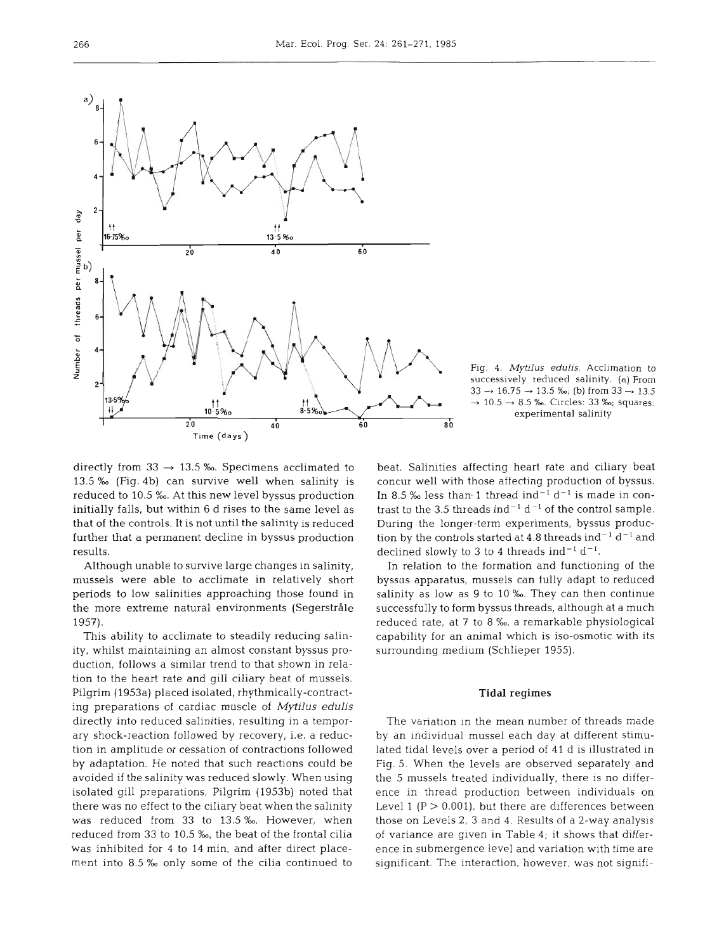

Fig. 4. **Mytilus** *eduhs.* Acclimation to successively reduced salinity. (a) From  $33 \rightarrow 16.75 \rightarrow 13.5$  ‰; (b) from  $33 \rightarrow 13.5$  $\rightarrow$  10.5  $\rightarrow$  8.5 ‰. Circles: 33 ‰; squares: experimental salinity

directly from 33  $\rightarrow$  13.5 ‰. Specimens acclimated to 13.5 **O/oo** (Fig. 4b) can survive well when salinity is reduced to 10.5 ‰. At this new level byssus production initially falls, but within 6 d rises to the same level as that of the controls. It is not until the salinity is reduced further that a permanent decline in byssus production results.

Although unable to survive large changes in salinity, mussels were able to acclimate in relatively short periods to low salinities approaching those found in the more extreme natural environments (Segerstråle 1957).

This ability to acclimate to steadily reducing salinity, whilst maintaining an almost constant byssus production, follows a similar trend to that shown in relation to the heart rate and gill ciliary beat of mussels. Pilgrim (1953a) placed isolated, rhythmically-contracting preparations of cardiac muscle of Mytilus **edulis**  directly into reduced salinities, resulting in a temporary shock-reaction followed by recovery, i.e. a reduction in amplitude or cessation of contractions followed by adaptation. He noted that such reactions could be avoided if the salinity was reduced slowly. When using isolated gill preparations, Pilgrim (1953b) noted that there was no effect to the ciliary beat when the salinity was reduced from 33 to 13.5 %. However, when reduced from 33 to 10.5 %, the beat of the frontal cilia was inhibited for 4 to 14 min, and after direct placement into 8.5 % only some of the cilia continued to beat. Salinities affecting heart rate and ciliary beat concur well with those affecting production of byssus. In 8.5 ‰ less than 1 thread ind<sup>-1</sup> d<sup>-1</sup> is made in contrast to the 3.5 threads ind<sup>-1</sup> d<sup>-1</sup> of the control sample. During the longer-term experiments, byssus production by the controls started at 4.8 threads ind $^{-1}$  d $^{-1}$  and declined slowly to 3 to 4 threads  $ind^{-1} d^{-1}$ .

In relation to the formation and functioning of the byssus apparatus, mussels can fully adapt to reduced salinity as low as 9 to 10 %. They can then continue successfully to form byssus threads, although at a much reduced rate, at 7 to 8 %, a remarkable physiological capability for an animal which is iso-osmotic with its surrounding medium (Schlieper 1955).

#### Tidal regimes

The variation in the mean number of threads made by an individual mussel each day at different stimulated tidal levels over a period of 41 d is illustrated in Fig. 5. When the levels are observed separately and the 5 mussels treated individually, there is no difference in thread production between individuals on Level 1 ( $P > 0.001$ ), but there are differences between those on Levels 2, 3 and 4. Results of a 2-way analysis of variance are given in Table 4; it shows that difference in submergence level and variation with time are significant. The interaction, however, was not signifi-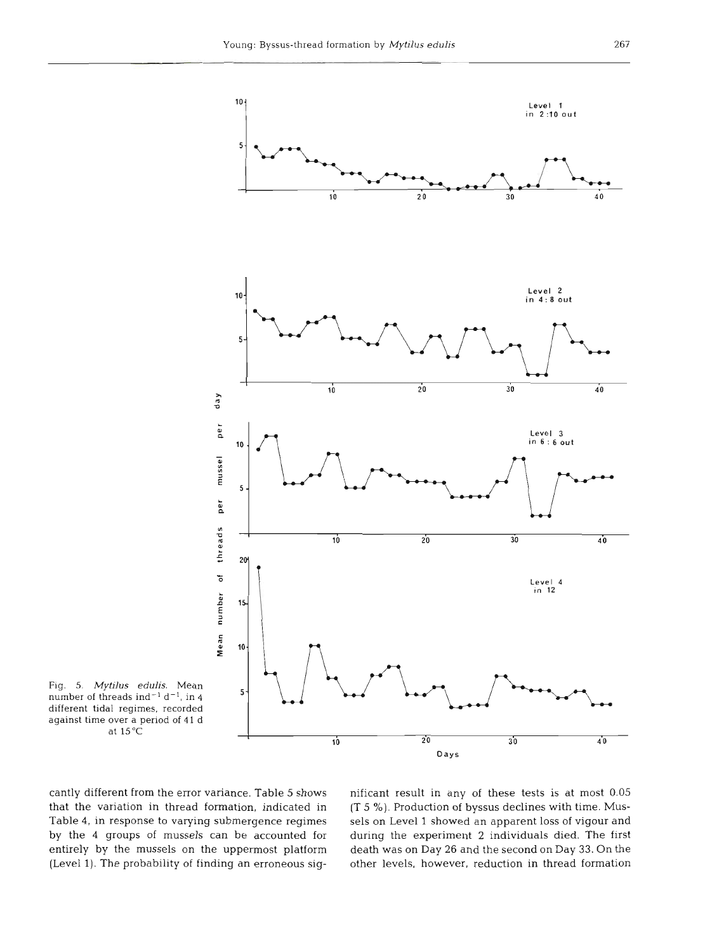

**Fig. 5. Mytilus edulis.** Mean number of threads ind<sup>-1</sup> d<sup>-1</sup>, in 4 different tidal regimes, recorded against time over a period of 41 d **at** 15°C

cantly different from the error variance. Table **5** shows nificant result in any of these tests is at most **0.05** 

that the variation in thread formation, indicated in **(T 5** %). Production of byssus declines with time. Mus-Table 4, in response to varying submergence regimes sels on Level 1 showed an apparent loss of vigour and by the 4 groups of mussels can be accounted for during the experiment **2** individuals died. The first entirely by the mussels on the uppermost platform death was on Day 26 and the second on Day 33. On the (Level 1). The probability of finding an erroneous sig- other levels, however, reduction in thread formation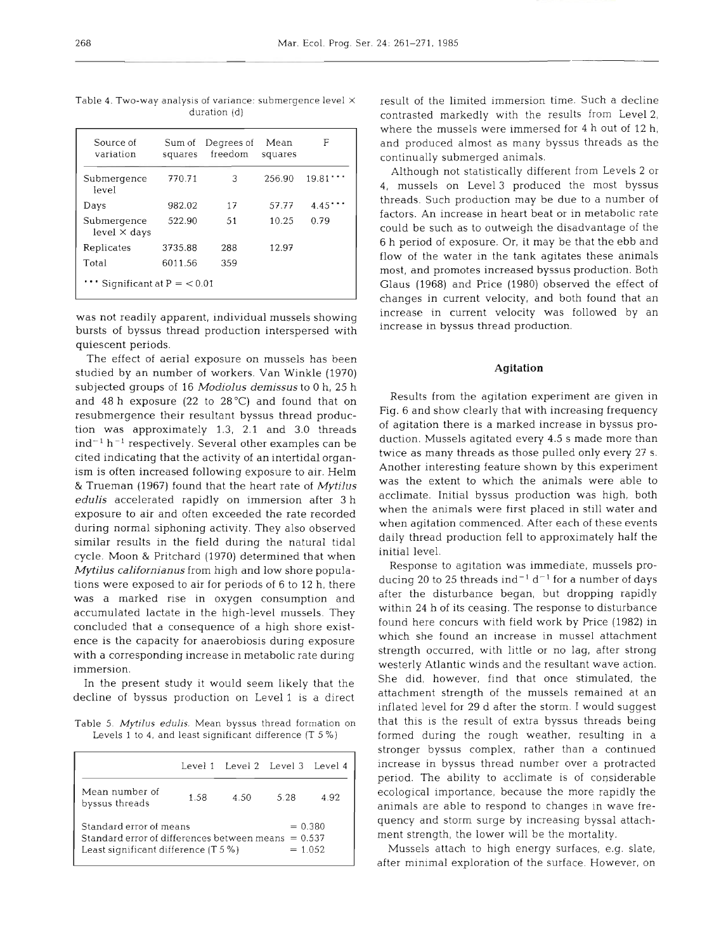| Source of<br>variation             | Sum of<br>squares | Degrees of<br>freedom | Mean<br>squares | F     |
|------------------------------------|-------------------|-----------------------|-----------------|-------|
| Submergence<br>level               | 770.71            | 3                     | 256.90          | 19.81 |
| Days                               | 982.02            | 17                    | 57.77           | 4.45  |
| Submergence<br>$level \times days$ | 522.90            | 51                    | 10.25           | 0.79  |
| Replicates                         | 3735.88           | 288                   | 12.97           |       |
| Total                              | 6011.56           | 359                   |                 |       |
| Significant at $P = 0.01$          |                   |                       |                 |       |

Table 4. Two-way analysis of variance: submergence level X duration (d)

was not readily apparent, Individual mussels showing bursts of byssus thread production interspersed with quiescent periods.

The effect of aerial exposure on mussels has been studied by an number of workers. Van Winkle (1970) subjected groups of 16 *Modiolus demissus* to 0 h, 25 h and 48 h exposure (22 to  $28^{\circ}$ C) and found that on resubmergence their resultant byssus thread production was approximately 1.3, 2.1 and 3.0 threads  $ind^{-1} h^{-1}$  respectively. Several other examples can be cited indicating that the activity of an intertidal organism is often increased following exposure to air. Helm & Trueman (1967) found that the heart rate of *Mytilus edulis* accelerated rapidly on immersion after 3 h exposure to air and often exceeded the rate recorded during normal siphoning activity. They also observed similar results in the field during the natural tidal cycle. Moon & Pritchard (1970) determined that when *Mytilus californianus* from high and low shore populations were exposed to air for periods of 6 to 12 h, there was a marked rise in oxygen consumption and accumulated lactate in the high-level mussels. They concluded that a consequence of a high shore existence is the capacity for anaerobiosis during exposure with a corresponding increase in metabolic rate during immersion.

In the present study it would seem likely that the decline of byssus production on Level l is a direct

Table 5. *Mytllus* edulis. Mean byssus thread formation on Levels 1 to 4, and least significant difference (T 5 %)

|                                                                                                                  |      | Level 1 Level 2 Level 3 Level 4 |                                     |      |
|------------------------------------------------------------------------------------------------------------------|------|---------------------------------|-------------------------------------|------|
| Mean number of<br>byssus threads                                                                                 | 1.58 | 4.50                            | 5.28                                | 4.92 |
| Standard error of means<br>Standard error of differences between means<br>Least significant difference $(T 5 %)$ |      |                                 | $= 0.380$<br>$= 0.537$<br>$= 1.052$ |      |

result of the limited immersion time. Such a decline contrasted markedly with the results from Level 2, where the mussels were immersed for 4 h out of 12 h, and produced almost as many byssus threads as the continually submerged animals.

Although not statistically different from Levels 2 or 4, mussels on Level 3 produced the most byssus threads. Such production may be due to a number of factors. An increase in heart beat or in metabolic rate could be such as to outweigh the disadvantage of the 6 h period of exposure. Or, it may be that the ebb and flow of the water in the tank agitates these animals most, and promotes increased byssus production. Both Glaus (1968) and Price (1980) observed the effect of changes in current velocity, and both found that an increase in current velocity was followed by an increase in byssus thread production.

#### **Agitation**

Results from the agitation experiment are given in Fig. 6 and show clearly that with increasing frequency of agitation there is a marked increase in byssus production. Mussels agitated every 4.5 s made more than twice as many threads as those pulled only every 27 S. Another interesting feature shown by this experiment was the extent to which the animals were able to acclimate. Initial byssus production was high, both when the animals were first placed in still water and when agitation commenced. After each of these events daily thread production fell to approximately half the initial level.

Response to agitation was immediate, mussels producing 20 to 25 threads ind<sup>-1</sup> d<sup>-1</sup> for a number of days after the disturbance began, but dropping rapidly within 24 h of its ceasing. The response to disturbance found here concurs with field work by Price (1982) in which she found an increase in mussel attachment strength occurred, with little or no lag, after strong westerly Atlantic winds and the resultant wave action. She did, however, find that once stimulated, the attachment strength of the mussels remained at an inflated level for 29 d after the storm. I would suggest that this is the result of extra byssus threads being formed during the rough weather, resulting in a stronger byssus complex, rather than a continued increase in byssus thread number over a protracted period. The ability to acclimate is of considerable ecological importance, because the more rapidly the animals are able to respond to changes in wave frequency and storm surge by Increasing byssal attachment strength, the lower will be the mortality.

 mussels attach to high energy surfaces, e.g. slate, after minimal exploration of the surface. However, on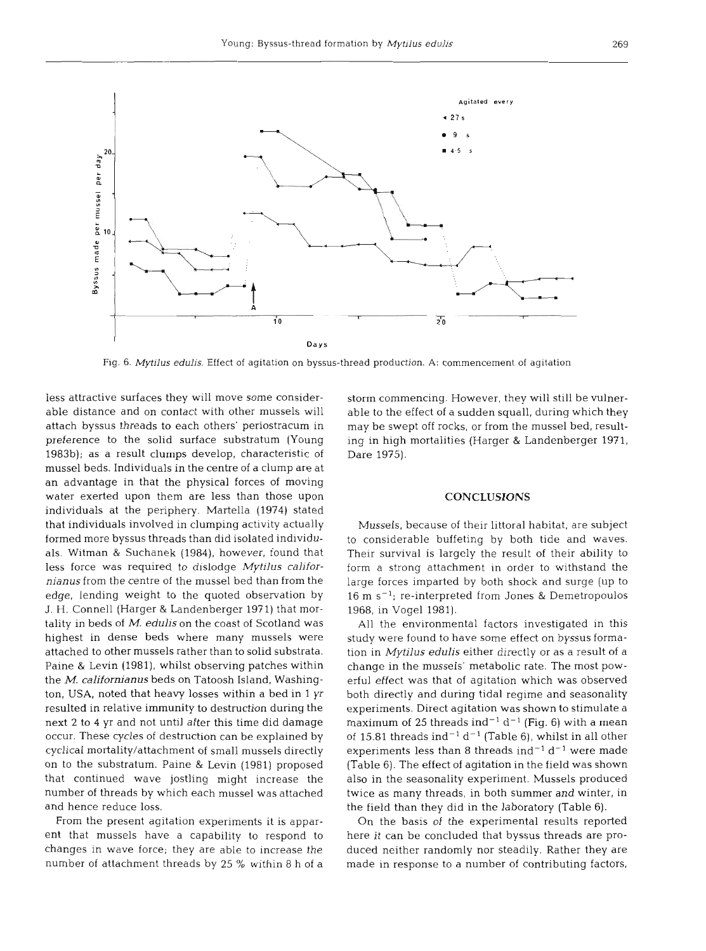

Fig. 6. Mytilus edulis. Effect of agitation on byssus-thread production. A: commencement of agitation

less attractive surfaces they will move some considerable distance and on contact with other mussels will attach byssus threads to each others' periostracum in preference to the solid surface substratum (Young 1983b); as a result clumps develop, characteristic of mussel beds. Individuals in the centre of a clump are at an advantage in that the physical forces of moving water exerted upon them are less than those upon individuals at the periphery. Martella (1974) stated that individuals involved in clumping activity actually formed more byssus threads than did isolated individuals. Witman & Suchanek (1984), however, found that less force was required to dislodge *Mytilus californianus* from the centre of the mussel bed than from the edge, lending weight to the quoted observation by J. H. Connell (Harger & Landenberger 1971) that mortality in beds of M. *edulis* on the coast of Scotland was highest in dense beds where many mussels were attached to other mussels rather than to solid substrata. Paine & Levin (1981), whilst observing patches within the M. **californianus** beds on Tatoosh Island, Washington, USA, noted that heavy losses within a bed in 1 yr resulted in relative immunity to destruction during the next **2** to 4 yr and not until after this time did damage occur. These cycles of destruction can be explained by cyclical mortality/attachment of small mussels directly on to the substratum. Paine & Levin (1981) proposed that continued wave jostling might increase the number of threads by which each mussel was attached and hence reduce loss.

From the present agitation experiments it is apparent that mussels have a capability to respond to changes in wave force; they are able to increase the number of attachment threads by 25 % within 8 h of a

storm commencing. However, they will still be vulnerable to the effect of a sudden squall, during which they may be swept off rocks, or from the mussel bed, resulting in high mortalities (Harger & Landenberger 1971, Dare 1975).

#### **CONCLUSIONS**

Mussels, because of their littoral habitat, are subject to considerable buffeting by both tide and waves. Their survival is largely the result of their ability to form a strong attachment in order to withstand the large forces imparted by both shock and surge (up to  $16 \text{ m s}^{-1}$ ; re-interpreted from Jones & Demetropoulos 1968, in Vogel 1981).

All the environmental factors investigated in this study were found to have some effect on byssus formation in *Mytilus edulis* either directly or as a result of a change in the mussels' metabolic rate. The most powerful effect was that of agitation which was observed both directly and during tidal regime and seasonality experiments. Direct agitation was shown to stimulate a maximum of 25 threads ind<sup>-1</sup> d<sup>-1</sup> (Fig. 6) with a mean of 15.81 threads ind<sup>-1</sup> d<sup>-1</sup> (Table 6), whilst in all other experiments less than 8 threads ind<sup>-1</sup> d<sup>-1</sup> were made (Table 6). The effect of agitation in the field was shown also in the seasonality experiment. Mussels produced twice as many threads, in both summer and winter, in the field than they did in the laboratory (Table 6).

On the basis of the experimental results reported here it can be concluded that byssus threads are produced neither randomly nor steadily. Rather they are made in response to a number of contributing factors,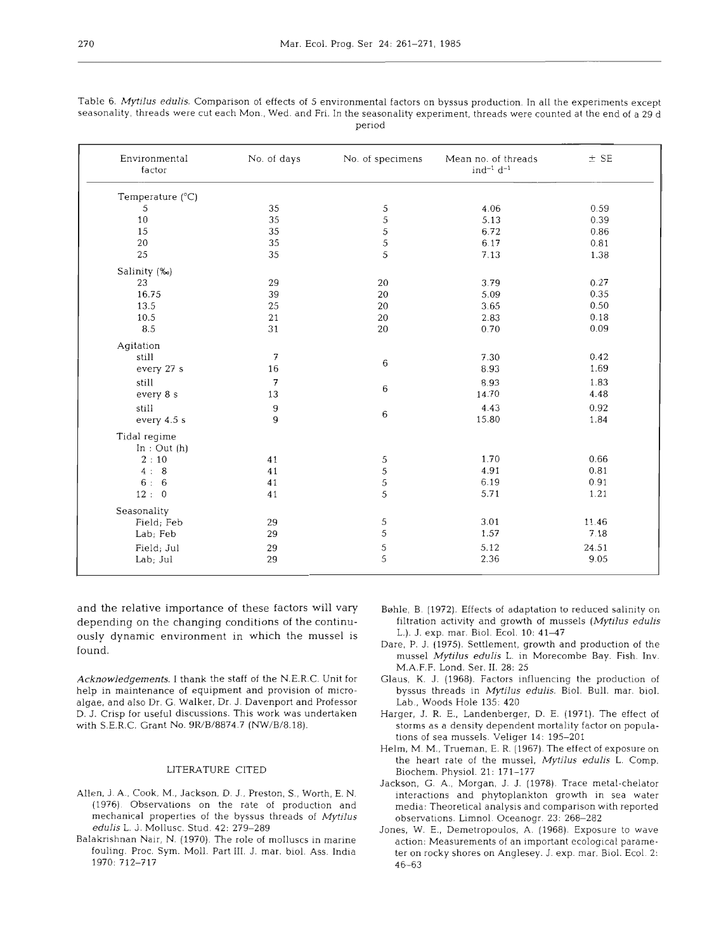| Environmental<br>factor | No. of days | No. of specimens | Mean no. of threads<br>$ind^{-1} d^{-1}$ | $±$ SE |
|-------------------------|-------------|------------------|------------------------------------------|--------|
| Temperature (°C)        |             |                  |                                          |        |
| 5                       | 35          | 5                | 4.06                                     | 0.59   |
| 10                      | 35          | 5                | 5.13                                     | 0.39   |
| 15                      | 35          | 5                | 6.72                                     | 0.86   |
| 20                      | 35          | 5                | 6.17                                     | 0.81   |
| 25                      | 35          | 5                | 7.13                                     | 1.38   |
| Salinity (‰)            |             |                  |                                          |        |
| 23                      | 29          | 20               | 3.79                                     | 0.27   |
| 16.75                   | 39          | 20               | 5.09                                     | 0.35   |
| 13.5                    | 25          | 20               | 3.65                                     | 0.50   |
| 10.5                    | 21          | 20               | 2.83                                     | 0.18   |
| 8.5                     | 31          | 20               | 0.70                                     | 0.09   |
| Agitation               |             |                  |                                          |        |
| still                   | 7           | 6                | 7.30                                     | 0.42   |
| every 27 s              | 16          |                  | 8.93                                     | 1.69   |
| still                   | 7           |                  | 8.93                                     | 1.83   |
| every 8 s               | 13          | 6                | 14.70                                    | 4.48   |
| still                   | 9           |                  | 4.43                                     | 0.92   |
| every 4.5 s             | 9           | 6                | 15.80                                    | 1.84   |
| Tidal regime            |             |                  |                                          |        |
| In: Out(h)              |             |                  |                                          |        |
| 2:10                    | 41          | 5                | 1.70                                     | 0.66   |
| 4:8                     | 41          | 5                | 4.91                                     | 0.81   |
| 6:6                     | 41          | 5                | 6.19                                     | 0.91   |
| 12:0                    | 41          | 5                | 5.71                                     | 1.21   |
| Seasonality             |             |                  |                                          |        |
| Field; Feb              | 29          | 5                | 3.01                                     | 11.46  |
| Lab; Feb                | 29          | 5                | 1.57                                     | 7.18   |
| Field; Jul              | 29          | 5                | 5.12                                     | 24.51  |
| Lab; Jul                | 29          | 5                | 2.36                                     | 9.05   |

Table *6. Mytilus edulis.* Comparison of effects of *5* environmental factors on byssus production. In all the experiments except seasonallty, threads were cut each Mon., Wed. and Fri. In the seasonality experiment, threads were counted at the end of a *29* d period

and the relative importance of these factors will vary depending on the changing conditions of the continuously dynamic environment in which the mussel is found.

*Acknowledgements. I* thank the staff of the N.E.R.C. Unit for help in maintenance of equipment and provision of microalgae, and also Dr. G. Walker, Dr. J. Davenport and Professor D. J. Crisp for useful discussions. This work was undertaken with S.E.R.C. Grant No. *9R/B/8874.7 (NW/B/8.18).* 

#### LITERATURE CITED

- Allen. J. **A.,** Cook. M., Jackson. D. J.. Preston, S., Worth, E. N. *(1976).* Observations on the rate of production and mechanical properties of the byssus threads of *Mytilus edulis* L. J. Mollusc. Stud. *42: 279-289*
- Balakrishnan Nair, N. (1970). The role of molluscs in marine fouhng. Proc. Sym. Moll. Part 111. J, mar. biol. Ass. India *1970: 712-717*
- Bshle, B. *(1972).* Effects of adaptation to reduced salinity on filtration activity and growth of mussels *(Mytilus edulis*  L.). *J. exp. mar. Biol. Ecol.* 10: 41-47
- Dare, P. *J. (1975).* Settlement, growth and production of the mussel *Mytilus edulis* L. in Morecombe Bay. Fish. Inv. M.A.F.F. Lond. Ser. **11.** *28: 25*
- Glaus, K. J. *(1968).* Factors influencing the production of byssus threads in *Mytilus edulis.* Biol. Bull. mar. biol. Lab., Woods Hole *135: 420*
- Harger, J. R. E., Landenberger, D. E. (1971). The effect of storms as a density dependent mortality factor on populations of sea mussels. Veliger *14: 195-201*
- Helm, M. M., Trueman, E. R. *(1967).* The effect of exposure on the heart rate of the mussel, Mytilus edulis L. Comp. Biochem. Physiol. *21: 171-177*
- Jackson, G. *A.,* Morgan, J. J. *(1978).* Trace metal-chelator interactions and phytoplankton growth in sea water media: Theoretical analysis and comparison with reported observations. Lirnnol. Oceanogr. *23: 268-282*
- Jones, W. E., Demetropoulos. A. *(1968)* Exposure to wave action: Measurements of an important ecological parameter on rocky shores on Anglesey. J. exp. mar. Biol. Ecol. *2: 4 6-63*